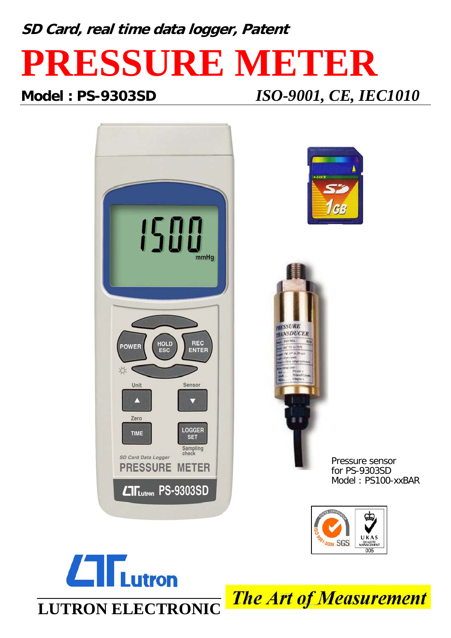**SD Card, real time data logger, Patent**

## **PRESSURE METER**

**Model : PS-9303SD** *ISO-9001, CE, IEC1010*





**The Art of Measurement**